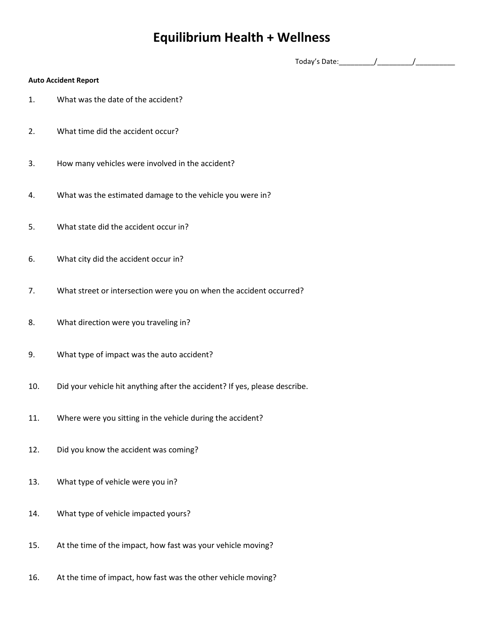## **Equilibrium Health + Wellness**

Today's Date:  $\frac{1}{2}$  Today's Date:

## **Auto Accident Report**

- 1. What was the date of the accident?
- 2. What time did the accident occur?
- 3. How many vehicles were involved in the accident?
- 4. What was the estimated damage to the vehicle you were in?
- 5. What state did the accident occur in?
- 6. What city did the accident occur in?
- 7. What street or intersection were you on when the accident occurred?
- 8. What direction were you traveling in?
- 9. What type of impact was the auto accident?
- 10. Did your vehicle hit anything after the accident? If yes, please describe.
- 11. Where were you sitting in the vehicle during the accident?
- 12. Did you know the accident was coming?
- 13. What type of vehicle were you in?
- 14. What type of vehicle impacted yours?
- 15. At the time of the impact, how fast was your vehicle moving?
- 16. At the time of impact, how fast was the other vehicle moving?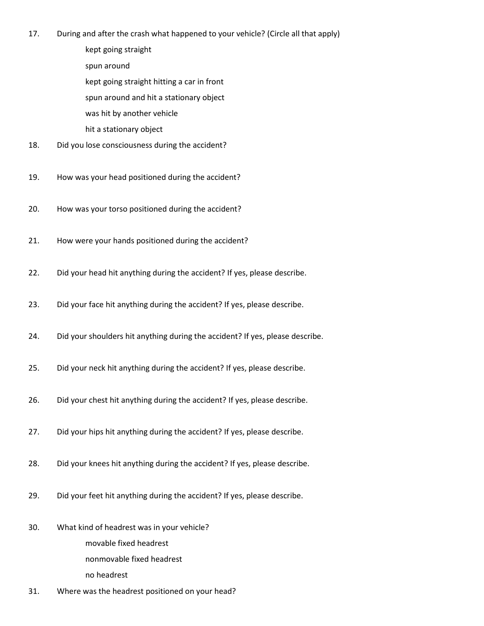- 17. During and after the crash what happened to your vehicle? (Circle all that apply)
	- kept going straight
	- spun around
	- kept going straight hitting a car in front
	- spun around and hit a stationary object
	- was hit by another vehicle
	- hit a stationary object
- 18. Did you lose consciousness during the accident?
- 19. How was your head positioned during the accident?
- 20. How was your torso positioned during the accident?
- 21. How were your hands positioned during the accident?
- 22. Did your head hit anything during the accident? If yes, please describe.
- 23. Did your face hit anything during the accident? If yes, please describe.
- 24. Did your shoulders hit anything during the accident? If yes, please describe.
- 25. Did your neck hit anything during the accident? If yes, please describe.
- 26. Did your chest hit anything during the accident? If yes, please describe.
- 27. Did your hips hit anything during the accident? If yes, please describe.
- 28. Did your knees hit anything during the accident? If yes, please describe.
- 29. Did your feet hit anything during the accident? If yes, please describe.
- 30. What kind of headrest was in your vehicle? movable fixed headrest nonmovable fixed headrest no headrest
- 31. Where was the headrest positioned on your head?